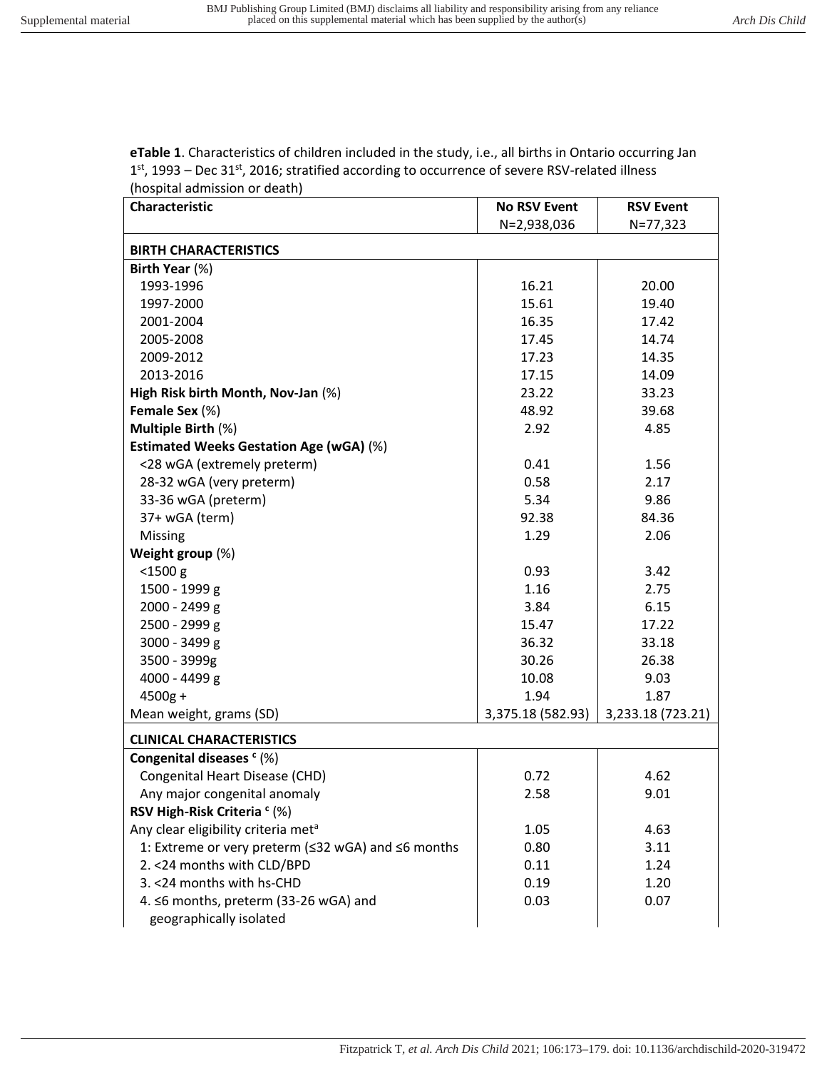## **eTable 1**. Characteristics of children included in the study, i.e., all births in Ontario occurring Jan 1<sup>st</sup>, 1993 – Dec 31<sup>st</sup>, 2016; stratified according to occurrence of severe RSV-related illness (hospital admission or death)

| Characteristic                                     | <b>No RSV Event</b> | <b>RSV Event</b>  |
|----------------------------------------------------|---------------------|-------------------|
|                                                    | N=2,938,036         | N=77,323          |
| <b>BIRTH CHARACTERISTICS</b>                       |                     |                   |
| Birth Year (%)                                     |                     |                   |
| 1993-1996                                          | 16.21               | 20.00             |
| 1997-2000                                          | 15.61               | 19.40             |
| 2001-2004                                          | 16.35               | 17.42             |
| 2005-2008                                          | 17.45               | 14.74             |
| 2009-2012                                          | 17.23               | 14.35             |
| 2013-2016                                          | 17.15               | 14.09             |
| High Risk birth Month, Nov-Jan (%)                 | 23.22               | 33.23             |
| Female Sex (%)                                     | 48.92               | 39.68             |
| Multiple Birth (%)                                 | 2.92                | 4.85              |
| <b>Estimated Weeks Gestation Age (wGA) (%)</b>     |                     |                   |
| <28 wGA (extremely preterm)                        | 0.41                | 1.56              |
| 28-32 wGA (very preterm)                           | 0.58                | 2.17              |
| 33-36 wGA (preterm)                                | 5.34                | 9.86              |
| 37+ wGA (term)                                     | 92.38               | 84.36             |
| Missing                                            | 1.29                | 2.06              |
| Weight group (%)                                   |                     |                   |
| $<$ 1500 $g$                                       | 0.93                | 3.42              |
| 1500 - 1999 g                                      | 1.16                | 2.75              |
| 2000 - 2499 g                                      | 3.84                | 6.15              |
| 2500 - 2999 g                                      | 15.47               | 17.22             |
| 3000 - 3499 g                                      | 36.32               | 33.18             |
| 3500 - 3999g                                       | 30.26               | 26.38             |
| 4000 - 4499 g                                      | 10.08               | 9.03              |
| $4500g +$                                          | 1.94                | 1.87              |
| Mean weight, grams (SD)                            | 3,375.18 (582.93)   | 3,233.18 (723.21) |
| <b>CLINICAL CHARACTERISTICS</b>                    |                     |                   |
| Congenital diseases $c$ (%)                        |                     |                   |
| Congenital Heart Disease (CHD)                     | 0.72                | 4.62              |
| Any major congenital anomaly                       | 2.58                | 9.01              |
| RSV High-Risk Criteria <sup>c</sup> (%)            |                     |                   |
| Any clear eligibility criteria met <sup>a</sup>    | 1.05                | 4.63              |
| 1: Extreme or very preterm (≤32 wGA) and ≤6 months | 0.80                | 3.11              |
| 2. < 24 months with CLD/BPD                        | 0.11                | 1.24              |
| 3. < 24 months with hs-CHD                         | 0.19                | 1.20              |
| 4. ≤6 months, preterm (33-26 wGA) and              | 0.03                | 0.07              |
| geographically isolated                            |                     |                   |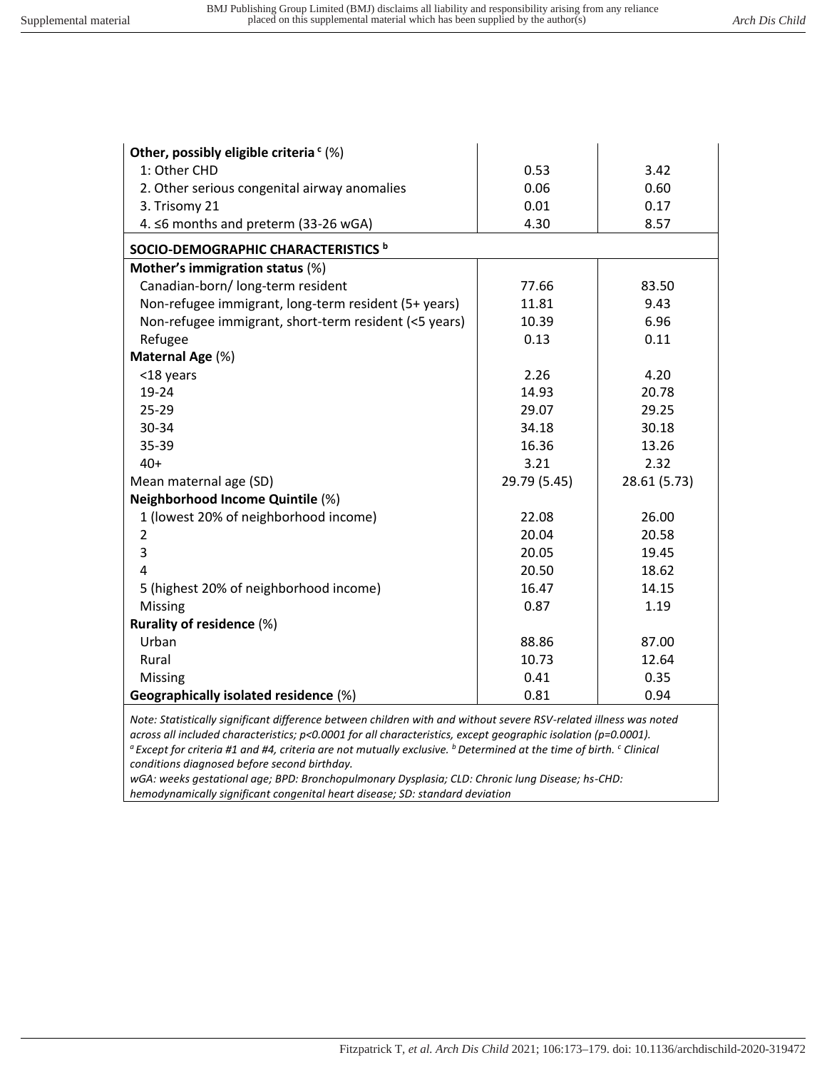$\overline{1}$ 

 $\mathbf{r}$ 

| Other, possibly eligible criteria $c$ (%)             |              |              |
|-------------------------------------------------------|--------------|--------------|
| 1: Other CHD                                          | 0.53         | 3.42         |
| 2. Other serious congenital airway anomalies          | 0.06         | 0.60         |
| 3. Trisomy 21                                         | 0.01         | 0.17         |
| 4. ≤6 months and preterm (33-26 wGA)                  | 4.30         | 8.57         |
| SOCIO-DEMOGRAPHIC CHARACTERISTICS b                   |              |              |
| Mother's immigration status (%)                       |              |              |
| Canadian-born/ long-term resident                     | 77.66        | 83.50        |
| Non-refugee immigrant, long-term resident (5+ years)  | 11.81        | 9.43         |
| Non-refugee immigrant, short-term resident (<5 years) | 10.39        | 6.96         |
| Refugee                                               | 0.13         | 0.11         |
| Maternal Age (%)                                      |              |              |
| <18 years                                             | 2.26         | 4.20         |
| 19-24                                                 | 14.93        | 20.78        |
| 25-29                                                 | 29.07        | 29.25        |
| 30-34                                                 | 34.18        | 30.18        |
| 35-39                                                 | 16.36        | 13.26        |
| $40+$                                                 | 3.21         | 2.32         |
| Mean maternal age (SD)                                | 29.79 (5.45) | 28.61 (5.73) |
| <b>Neighborhood Income Quintile (%)</b>               |              |              |
| 1 (lowest 20% of neighborhood income)                 | 22.08        | 26.00        |
| $\overline{2}$                                        | 20.04        | 20.58        |
| 3                                                     | 20.05        | 19.45        |
| 4                                                     | 20.50        | 18.62        |
| 5 (highest 20% of neighborhood income)                | 16.47        | 14.15        |
| <b>Missing</b>                                        | 0.87         | 1.19         |
| Rurality of residence (%)                             |              |              |
| Urban                                                 | 88.86        | 87.00        |
| Rural                                                 | 10.73        | 12.64        |
| Missing                                               | 0.41         | 0.35         |
| Geographically isolated residence (%)                 | 0.81         | 0.94         |

*Note: Statistically significant difference between children with and without severe RSV-related illness was noted across all included characteristics; p<0.0001 for all characteristics, except geographic isolation (p=0.0001). <sup>a</sup>Except for criteria #1 and #4, criteria are not mutually exclusive. <sup>b</sup>Determined at the time of birth. <sup>c</sup> Clinical conditions diagnosed before second birthday.* 

*wGA: weeks gestational age; BPD: Bronchopulmonary Dysplasia; CLD: Chronic lung Disease; hs-CHD: hemodynamically significant congenital heart disease; SD: standard deviation*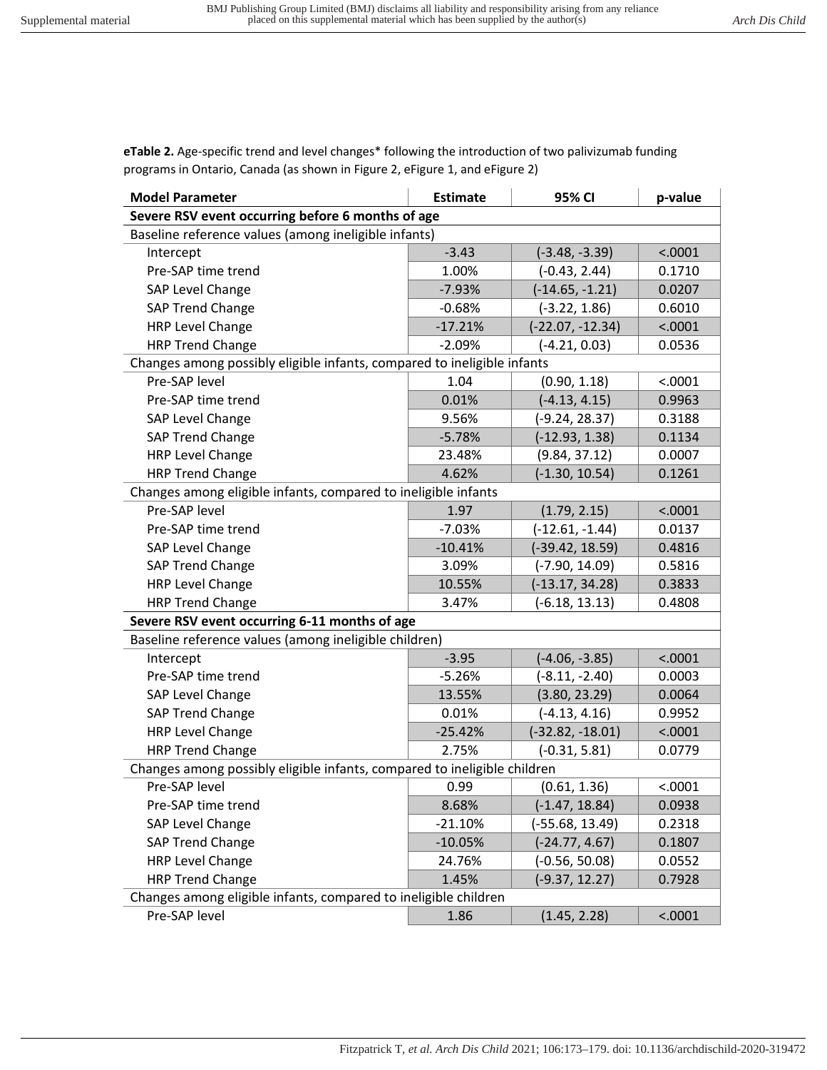**eTable 2.** Age-specific trend and level changes\* following the introduction of two palivizumab funding programs in Ontario, Canada (as shown in Figure 2, eFigure 1, and eFigure 2)

| <b>Model Parameter</b>                                                   | <b>Estimate</b> | 95% CI             | p-value |
|--------------------------------------------------------------------------|-----------------|--------------------|---------|
| Severe RSV event occurring before 6 months of age                        |                 |                    |         |
| Baseline reference values (among ineligible infants)                     |                 |                    |         |
| Intercept                                                                | $-3.43$         | $(-3.48, -3.39)$   | < .0001 |
| Pre-SAP time trend                                                       | 1.00%           | $(-0.43, 2.44)$    | 0.1710  |
| SAP Level Change                                                         | $-7.93%$        | $(-14.65, -1.21)$  | 0.0207  |
| SAP Trend Change                                                         | $-0.68%$        | $(-3.22, 1.86)$    | 0.6010  |
| HRP Level Change                                                         | $-17.21%$       | $(-22.07, -12.34)$ | < .0001 |
| <b>HRP Trend Change</b>                                                  | $-2.09%$        | $(-4.21, 0.03)$    | 0.0536  |
| Changes among possibly eligible infants, compared to ineligible infants  |                 |                    |         |
| Pre-SAP level                                                            | 1.04            | (0.90, 1.18)       | < .0001 |
| Pre-SAP time trend                                                       | 0.01%           | $(-4.13, 4.15)$    | 0.9963  |
| SAP Level Change                                                         | 9.56%           | $(-9.24, 28.37)$   | 0.3188  |
| SAP Trend Change                                                         | $-5.78%$        | $(-12.93, 1.38)$   | 0.1134  |
| <b>HRP Level Change</b>                                                  | 23.48%          | (9.84, 37.12)      | 0.0007  |
| <b>HRP Trend Change</b>                                                  | 4.62%           | $(-1.30, 10.54)$   | 0.1261  |
| Changes among eligible infants, compared to ineligible infants           |                 |                    |         |
| Pre-SAP level                                                            | 1.97            | (1.79, 2.15)       | < .0001 |
| Pre-SAP time trend                                                       | $-7.03%$        | $(-12.61, -1.44)$  | 0.0137  |
| SAP Level Change                                                         | $-10.41%$       | (-39.42, 18.59)    | 0.4816  |
| SAP Trend Change                                                         | 3.09%           | (-7.90, 14.09)     | 0.5816  |
| <b>HRP Level Change</b>                                                  | 10.55%          | $(-13.17, 34.28)$  | 0.3833  |
| <b>HRP Trend Change</b>                                                  | 3.47%           | $(-6.18, 13.13)$   | 0.4808  |
| Severe RSV event occurring 6-11 months of age                            |                 |                    |         |
| Baseline reference values (among ineligible children)                    |                 |                    |         |
| Intercept                                                                | $-3.95$         | $(-4.06, -3.85)$   | < .0001 |
| Pre-SAP time trend                                                       | $-5.26%$        | $(-8.11, -2.40)$   | 0.0003  |
| SAP Level Change                                                         | 13.55%          | (3.80, 23.29)      | 0.0064  |
| SAP Trend Change                                                         | 0.01%           | $(-4.13, 4.16)$    | 0.9952  |
| <b>HRP Level Change</b>                                                  | $-25.42%$       | $(-32.82, -18.01)$ | < .0001 |
| <b>HRP Trend Change</b>                                                  | 2.75%           | $(-0.31, 5.81)$    | 0.0779  |
| Changes among possibly eligible infants, compared to ineligible children |                 |                    |         |
| Pre-SAP level                                                            | 0.99            | (0.61, 1.36)       | < .0001 |
| Pre-SAP time trend                                                       | 8.68%           | $(-1.47, 18.84)$   | 0.0938  |
| SAP Level Change                                                         | $-21.10%$       | (-55.68, 13.49)    | 0.2318  |
| SAP Trend Change                                                         | $-10.05%$       | $(-24.77, 4.67)$   | 0.1807  |
| <b>HRP Level Change</b>                                                  | 24.76%          | $(-0.56, 50.08)$   | 0.0552  |
| <b>HRP Trend Change</b>                                                  | 1.45%           | $(-9.37, 12.27)$   | 0.7928  |
| Changes among eligible infants, compared to ineligible children          |                 |                    |         |
| Pre-SAP level                                                            | 1.86            | (1.45, 2.28)       | < .0001 |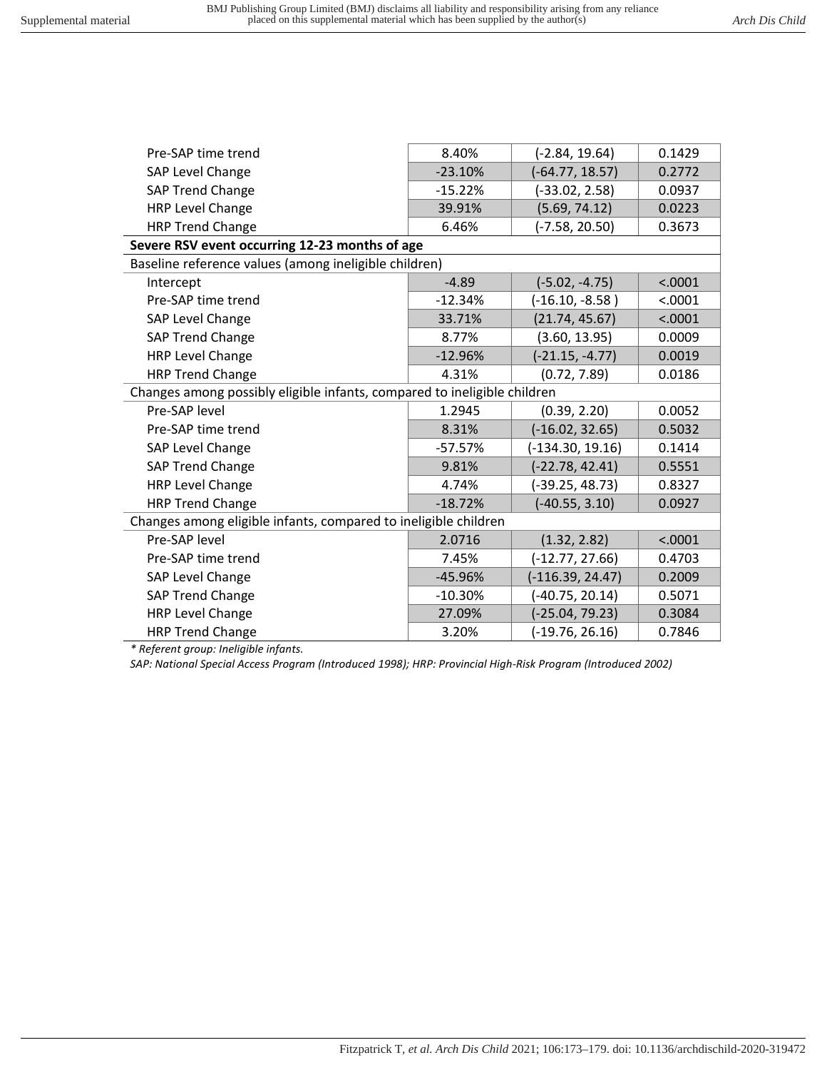| Pre-SAP time trend                                                       | 8.40%     | $(-2.84, 19.64)$   | 0.1429  |
|--------------------------------------------------------------------------|-----------|--------------------|---------|
| SAP Level Change                                                         | $-23.10%$ | $(-64.77, 18.57)$  | 0.2772  |
| SAP Trend Change                                                         | $-15.22%$ | $(-33.02, 2.58)$   | 0.0937  |
| <b>HRP Level Change</b>                                                  | 39.91%    | (5.69, 74.12)      | 0.0223  |
| <b>HRP Trend Change</b>                                                  | 6.46%     | $(-7.58, 20.50)$   | 0.3673  |
| Severe RSV event occurring 12-23 months of age                           |           |                    |         |
| Baseline reference values (among ineligible children)                    |           |                    |         |
| Intercept                                                                | $-4.89$   | $(-5.02, -4.75)$   | < .0001 |
| Pre-SAP time trend                                                       | $-12.34%$ | $(-16.10, -8.58)$  | < .0001 |
| SAP Level Change                                                         | 33.71%    | (21.74, 45.67)     | < .0001 |
| <b>SAP Trend Change</b>                                                  | 8.77%     | (3.60, 13.95)      | 0.0009  |
| <b>HRP Level Change</b>                                                  | $-12.96%$ | $(-21.15, -4.77)$  | 0.0019  |
| <b>HRP Trend Change</b>                                                  | 4.31%     | (0.72, 7.89)       | 0.0186  |
| Changes among possibly eligible infants, compared to ineligible children |           |                    |         |
| Pre-SAP level                                                            | 1.2945    | (0.39, 2.20)       | 0.0052  |
| Pre-SAP time trend                                                       | 8.31%     | $(-16.02, 32.65)$  | 0.5032  |
| SAP Level Change                                                         | $-57.57%$ | $(-134.30, 19.16)$ | 0.1414  |
| <b>SAP Trend Change</b>                                                  | 9.81%     | $(-22.78, 42.41)$  | 0.5551  |
| HRP Level Change                                                         | 4.74%     | $(-39.25, 48.73)$  | 0.8327  |
| <b>HRP Trend Change</b>                                                  | $-18.72%$ | $(-40.55, 3.10)$   | 0.0927  |
| Changes among eligible infants, compared to ineligible children          |           |                    |         |
| Pre-SAP level                                                            | 2.0716    | (1.32, 2.82)       | < .0001 |
| Pre-SAP time trend                                                       | 7.45%     | $(-12.77, 27.66)$  | 0.4703  |
| SAP Level Change                                                         | $-45.96%$ | $(-116.39, 24.47)$ | 0.2009  |
| <b>SAP Trend Change</b>                                                  | $-10.30%$ | $(-40.75, 20.14)$  | 0.5071  |
| <b>HRP Level Change</b>                                                  | 27.09%    | $(-25.04, 79.23)$  | 0.3084  |
| <b>HRP Trend Change</b>                                                  | 3.20%     | $(-19.76, 26.16)$  | 0.7846  |

*\* Referent group: Ineligible infants.* 

*SAP: National Special Access Program (Introduced 1998); HRP: Provincial High-Risk Program (Introduced 2002)*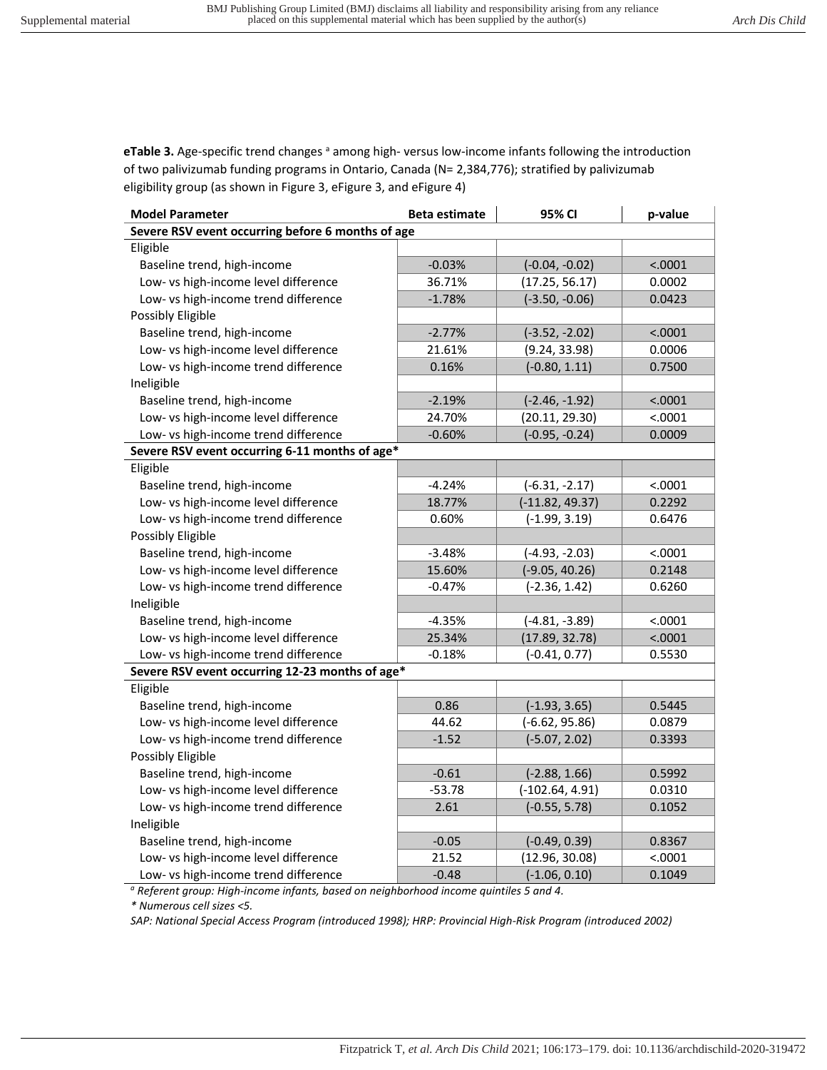**eTable 3.** Age-specific trend changes <sup>a</sup> among high- versus low-income infants following the introduction of two palivizumab funding programs in Ontario, Canada (N= 2,384,776); stratified by palivizumab eligibility group (as shown in Figure 3, eFigure 3, and eFigure 4)

| <b>Model Parameter</b>                            | <b>Beta estimate</b> | 95% CI            | p-value |
|---------------------------------------------------|----------------------|-------------------|---------|
| Severe RSV event occurring before 6 months of age |                      |                   |         |
| Eligible                                          |                      |                   |         |
| Baseline trend, high-income                       | $-0.03%$             | $(-0.04, -0.02)$  | < .0001 |
| Low- vs high-income level difference              | 36.71%               | (17.25, 56.17)    | 0.0002  |
| Low- vs high-income trend difference              | $-1.78%$             | $(-3.50, -0.06)$  | 0.0423  |
| Possibly Eligible                                 |                      |                   |         |
| Baseline trend, high-income                       | $-2.77%$             | $(-3.52, -2.02)$  | < .0001 |
| Low- vs high-income level difference              | 21.61%               | (9.24, 33.98)     | 0.0006  |
| Low- vs high-income trend difference              | 0.16%                | $(-0.80, 1.11)$   | 0.7500  |
| Ineligible                                        |                      |                   |         |
| Baseline trend, high-income                       | $-2.19%$             | $(-2.46, -1.92)$  | < .0001 |
| Low- vs high-income level difference              | 24.70%               | (20.11, 29.30)    | < .0001 |
| Low- vs high-income trend difference              | $-0.60%$             | $(-0.95, -0.24)$  | 0.0009  |
| Severe RSV event occurring 6-11 months of age*    |                      |                   |         |
| Eligible                                          |                      |                   |         |
| Baseline trend, high-income                       | $-4.24%$             | $(-6.31, -2.17)$  | < .0001 |
| Low- vs high-income level difference              | 18.77%               | $(-11.82, 49.37)$ | 0.2292  |
| Low- vs high-income trend difference              | 0.60%                | $(-1.99, 3.19)$   | 0.6476  |
| Possibly Eligible                                 |                      |                   |         |
| Baseline trend, high-income                       | $-3.48%$             | $(-4.93, -2.03)$  | < .0001 |
| Low- vs high-income level difference              | 15.60%               | $(-9.05, 40.26)$  | 0.2148  |
| Low- vs high-income trend difference              | $-0.47%$             | $(-2.36, 1.42)$   | 0.6260  |
| Ineligible                                        |                      |                   |         |
| Baseline trend, high-income                       | $-4.35%$             | $(-4.81, -3.89)$  | < .0001 |
| Low- vs high-income level difference              | 25.34%               | (17.89, 32.78)    | < .0001 |
| Low- vs high-income trend difference              | $-0.18%$             | $(-0.41, 0.77)$   | 0.5530  |
| Severe RSV event occurring 12-23 months of age*   |                      |                   |         |
| Eligible                                          |                      |                   |         |
| Baseline trend, high-income                       | 0.86                 | $(-1.93, 3.65)$   | 0.5445  |
| Low- vs high-income level difference              | 44.62                | $(-6.62, 95.86)$  | 0.0879  |
| Low- vs high-income trend difference              | $-1.52$              | $(-5.07, 2.02)$   | 0.3393  |
| Possibly Eligible                                 |                      |                   |         |
| Baseline trend, high-income                       | $-0.61$              | $(-2.88, 1.66)$   | 0.5992  |
| Low- vs high-income level difference              | $-53.78$             | $(-102.64, 4.91)$ | 0.0310  |
| Low- vs high-income trend difference              | 2.61                 | $(-0.55, 5.78)$   | 0.1052  |
| Ineligible                                        |                      |                   |         |
| Baseline trend, high-income                       | $-0.05$              | $(-0.49, 0.39)$   | 0.8367  |
| Low- vs high-income level difference              | 21.52                | (12.96, 30.08)    | < .0001 |
| Low- vs high-income trend difference              | $-0.48$              | $(-1.06, 0.10)$   | 0.1049  |

*a Referent group: High-income infants, based on neighborhood income quintiles 5 and 4.* 

*\* Numerous cell sizes <5.* 

*SAP: National Special Access Program (introduced 1998); HRP: Provincial High-Risk Program (introduced 2002)*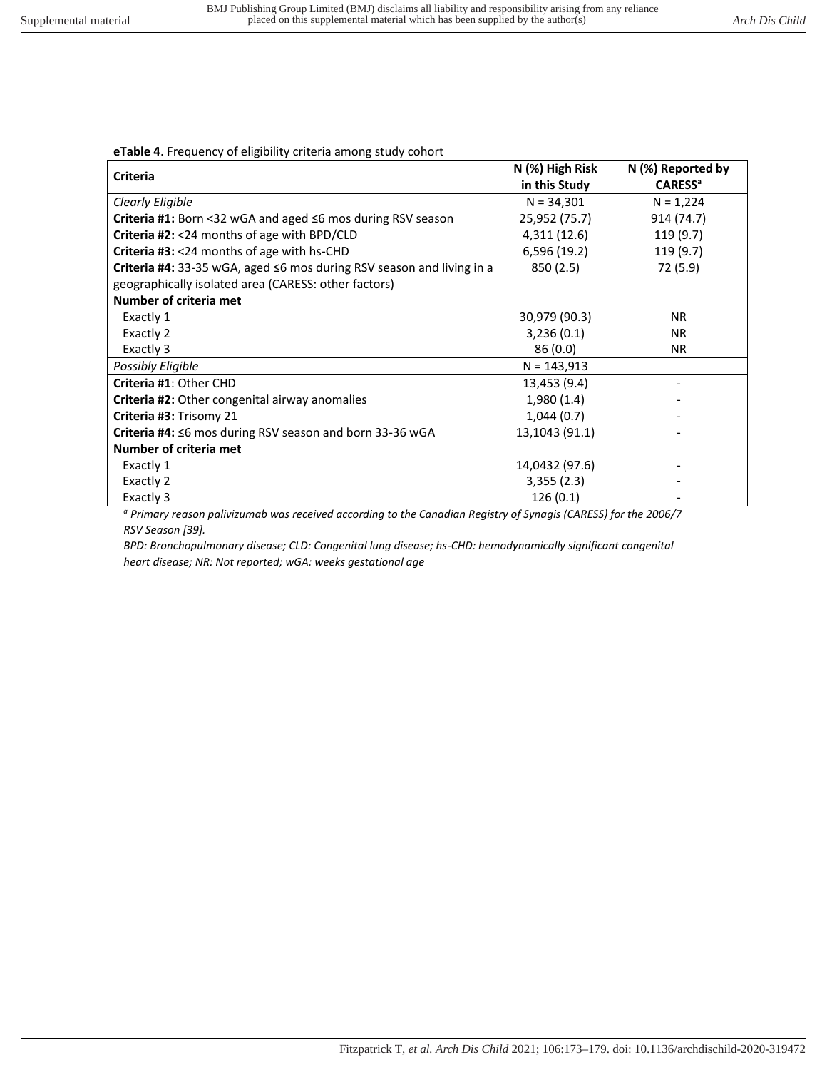## **eTable 4**. Frequency of eligibility criteria among study cohort

| <b>Criteria</b>                                                          | N (%) High Risk | N (%) Reported by         |
|--------------------------------------------------------------------------|-----------------|---------------------------|
|                                                                          | in this Study   | <b>CARESS<sup>a</sup></b> |
| Clearly Eligible                                                         | $N = 34,301$    | $N = 1,224$               |
| <b>Criteria #1:</b> Born <32 wGA and aged $\leq$ 6 mos during RSV season | 25,952 (75.7)   | 914 (74.7)                |
| <b>Criteria #2: &lt;24 months of age with BPD/CLD</b>                    | 4,311 (12.6)    | 119 (9.7)                 |
| Criteria #3: <24 months of age with hs-CHD                               | 6,596 (19.2)    | 119 (9.7)                 |
| Criteria #4: 33-35 wGA, aged ≤6 mos during RSV season and living in a    | 850 (2.5)       | 72 (5.9)                  |
| geographically isolated area (CARESS: other factors)                     |                 |                           |
| Number of criteria met                                                   |                 |                           |
| Exactly 1                                                                | 30,979 (90.3)   | <b>NR</b>                 |
| Exactly 2                                                                | 3,236(0.1)      | <b>NR</b>                 |
| Exactly 3                                                                | 86(0.0)         | NR.                       |
| Possibly Eligible                                                        | $N = 143,913$   |                           |
| Criteria #1: Other CHD                                                   | 13,453 (9.4)    |                           |
| Criteria #2: Other congenital airway anomalies                           | 1,980(1.4)      |                           |
| Criteria #3: Trisomy 21                                                  | 1,044(0.7)      |                           |
| Criteria #4: $\leq$ 6 mos during RSV season and born 33-36 wGA           | 13,1043 (91.1)  |                           |
| Number of criteria met                                                   |                 |                           |
| Exactly 1                                                                | 14,0432 (97.6)  |                           |
| Exactly 2                                                                | 3,355(2.3)      |                           |
| Exactly 3<br>$\cdot$ $\cdot$                                             | 126(0.1)        |                           |

*a Primary reason palivizumab was received according to the Canadian Registry of Synagis (CARESS) for the 2006/7 RSV Season [39].* 

*BPD: Bronchopulmonary disease; CLD: Congenital lung disease; hs-CHD: hemodynamically significant congenital heart disease; NR: Not reported; wGA: weeks gestational age*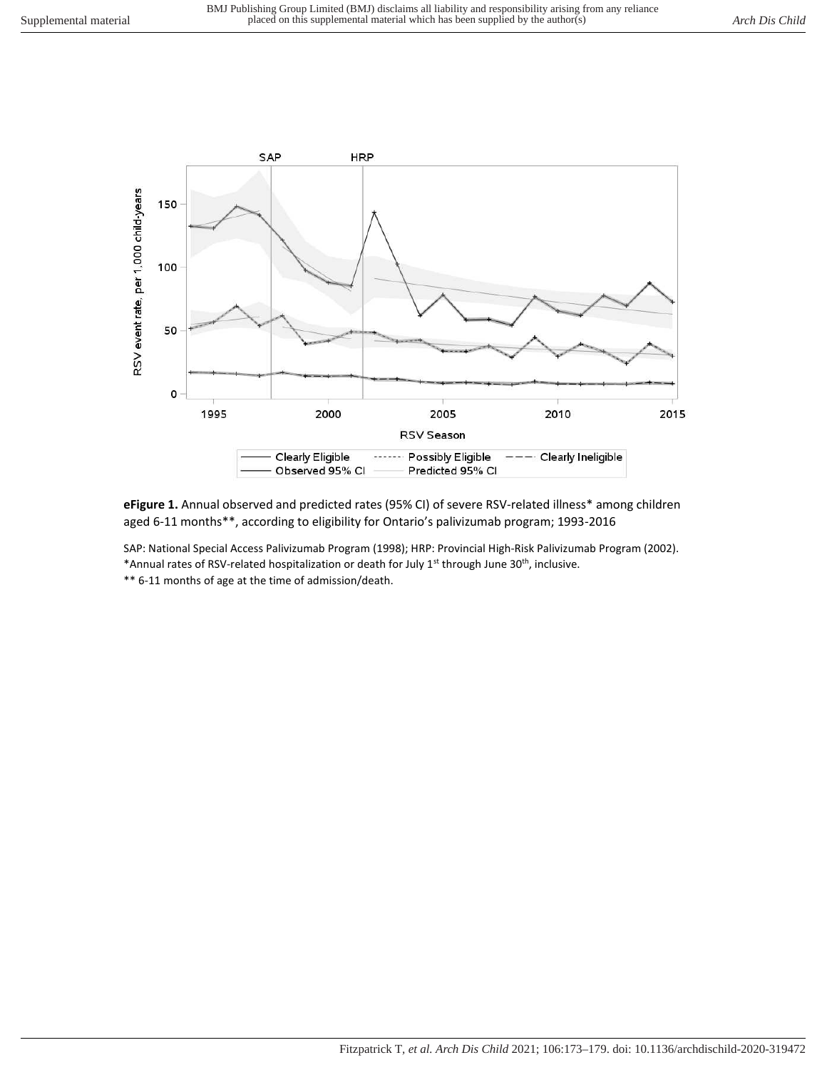

**eFigure 1.** Annual observed and predicted rates (95% CI) of severe RSV-related illness\* among children aged 6-11 months\*\*, according to eligibility for Ontario's palivizumab program; 1993-2016

SAP: National Special Access Palivizumab Program (1998); HRP: Provincial High-Risk Palivizumab Program (2002). \*Annual rates of RSV-related hospitalization or death for July 1<sup>st</sup> through June 30<sup>th</sup>, inclusive.

\*\* 6-11 months of age at the time of admission/death.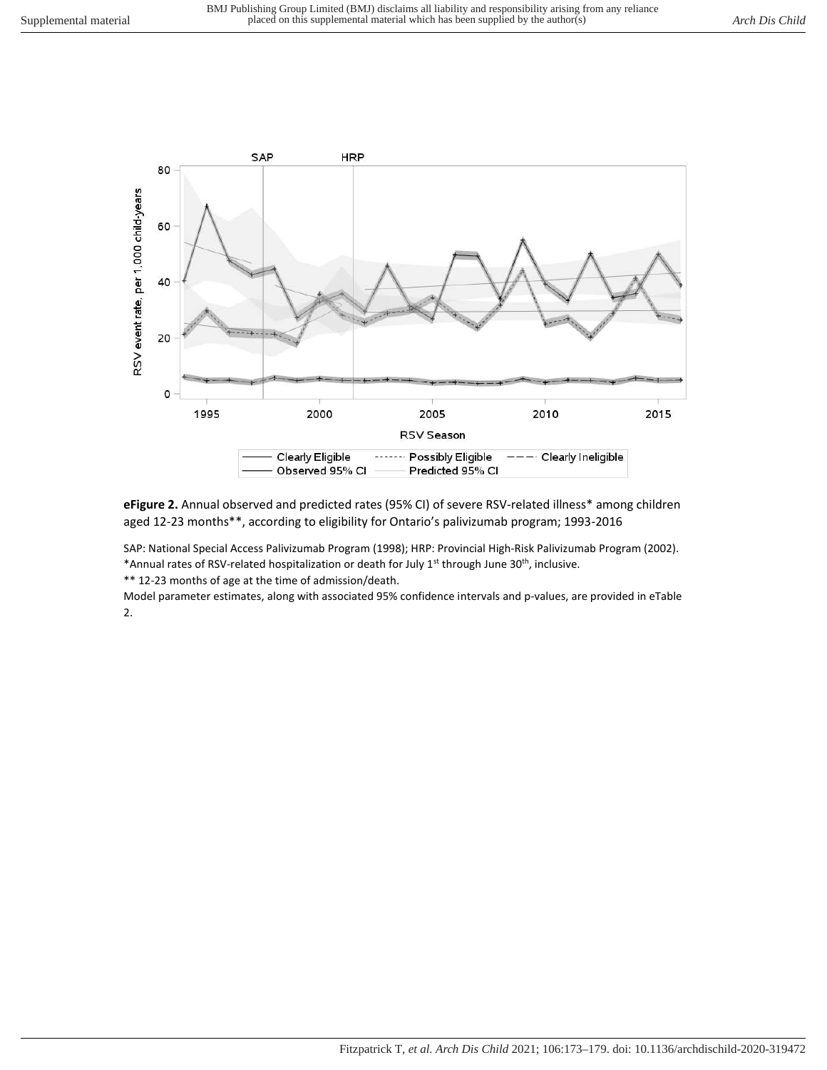

**eFigure 2.** Annual observed and predicted rates (95% CI) of severe RSV-related illness\* among children aged 12-23 months\*\*, according to eligibility for Ontario's palivizumab program; 1993-2016

SAP: National Special Access Palivizumab Program (1998); HRP: Provincial High-Risk Palivizumab Program (2002). \*Annual rates of RSV-related hospitalization or death for July 1<sup>st</sup> through June 30<sup>th</sup>, inclusive.

\*\* 12-23 months of age at the time of admission/death.

Model parameter estimates, along with associated 95% confidence intervals and p-values, are provided in eTable 2.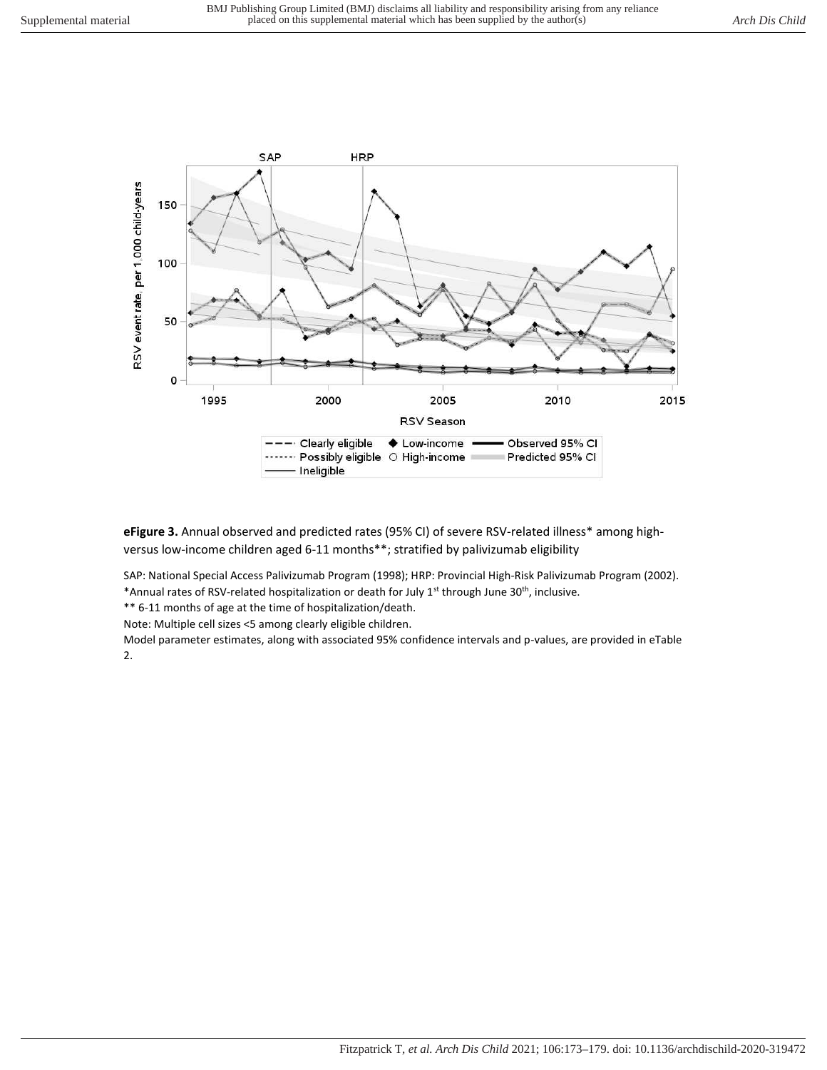

**eFigure 3.** Annual observed and predicted rates (95% CI) of severe RSV-related illness\* among highversus low-income children aged 6-11 months\*\*; stratified by palivizumab eligibility

SAP: National Special Access Palivizumab Program (1998); HRP: Provincial High-Risk Palivizumab Program (2002). \*Annual rates of RSV-related hospitalization or death for July 1<sup>st</sup> through June 30<sup>th</sup>, inclusive.

\*\* 6-11 months of age at the time of hospitalization/death.

Note: Multiple cell sizes <5 among clearly eligible children.

Model parameter estimates, along with associated 95% confidence intervals and p-values, are provided in eTable 2.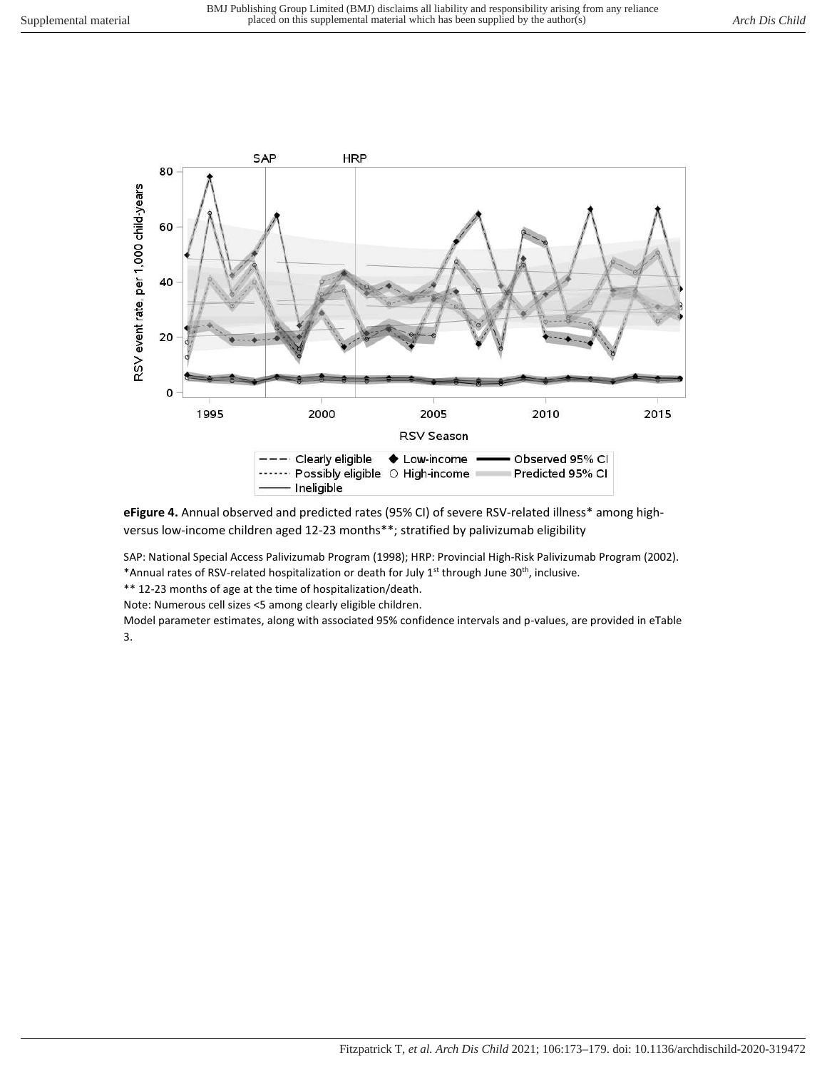

**eFigure 4.** Annual observed and predicted rates (95% CI) of severe RSV-related illness\* among highversus low-income children aged 12-23 months\*\*; stratified by palivizumab eligibility

SAP: National Special Access Palivizumab Program (1998); HRP: Provincial High-Risk Palivizumab Program (2002). \*Annual rates of RSV-related hospitalization or death for July 1<sup>st</sup> through June 30<sup>th</sup>, inclusive.

\*\* 12-23 months of age at the time of hospitalization/death.

Note: Numerous cell sizes <5 among clearly eligible children.

Model parameter estimates, along with associated 95% confidence intervals and p-values, are provided in eTable 3.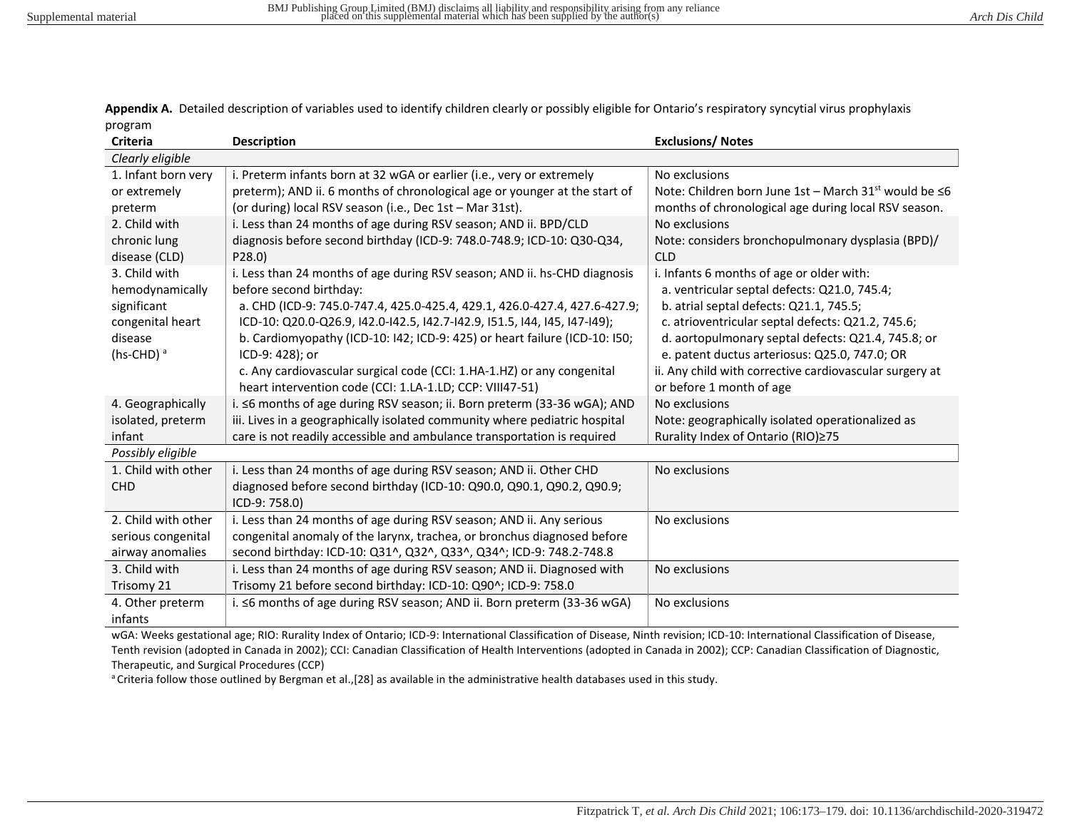**Appendix A.** Detailed description of variables used to identify children clearly or possibly eligible for Ontario's respiratory syncytial virus prophylaxis program

| <b>Criteria</b>     | <b>Description</b>                                                         | <b>Exclusions/ Notes</b>                                          |
|---------------------|----------------------------------------------------------------------------|-------------------------------------------------------------------|
| Clearly eligible    |                                                                            |                                                                   |
| 1. Infant born very | i. Preterm infants born at 32 wGA or earlier (i.e., very or extremely      | No exclusions                                                     |
| or extremely        | preterm); AND ii. 6 months of chronological age or younger at the start of | Note: Children born June 1st - March 31 <sup>st</sup> would be ≤6 |
| preterm             | (or during) local RSV season (i.e., Dec 1st - Mar 31st).                   | months of chronological age during local RSV season.              |
| 2. Child with       | i. Less than 24 months of age during RSV season; AND ii. BPD/CLD           | No exclusions                                                     |
| chronic lung        | diagnosis before second birthday (ICD-9: 748.0-748.9; ICD-10: Q30-Q34,     | Note: considers bronchopulmonary dysplasia (BPD)/                 |
| disease (CLD)       | P28.0                                                                      | <b>CLD</b>                                                        |
| 3. Child with       | i. Less than 24 months of age during RSV season; AND ii. hs-CHD diagnosis  | i. Infants 6 months of age or older with:                         |
| hemodynamically     | before second birthday:                                                    | a. ventricular septal defects: Q21.0, 745.4;                      |
| significant         | a. CHD (ICD-9: 745.0-747.4, 425.0-425.4, 429.1, 426.0-427.4, 427.6-427.9;  | b. atrial septal defects: Q21.1, 745.5;                           |
| congenital heart    | ICD-10: Q20.0-Q26.9, I42.0-I42.5, I42.7-I42.9, I51.5, I44, I45, I47-I49);  | c. atrioventricular septal defects: Q21.2, 745.6;                 |
| disease             | b. Cardiomyopathy (ICD-10: I42; ICD-9: 425) or heart failure (ICD-10: I50; | d. aortopulmonary septal defects: Q21.4, 745.8; or                |
| (hs-CHD) $a$        | ICD-9: 428); or                                                            | e. patent ductus arteriosus: Q25.0, 747.0; OR                     |
|                     | c. Any cardiovascular surgical code (CCI: 1.HA-1.HZ) or any congenital     | ii. Any child with corrective cardiovascular surgery at           |
|                     | heart intervention code (CCI: 1.LA-1.LD; CCP: VIII47-51)                   | or before 1 month of age                                          |
| 4. Geographically   | i. ≤6 months of age during RSV season; ii. Born preterm (33-36 wGA); AND   | No exclusions                                                     |
| isolated, preterm   | iii. Lives in a geographically isolated community where pediatric hospital | Note: geographically isolated operationalized as                  |
| infant              | care is not readily accessible and ambulance transportation is required    | Rurality Index of Ontario (RIO)≥75                                |
| Possibly eligible   |                                                                            |                                                                   |
| 1. Child with other | i. Less than 24 months of age during RSV season; AND ii. Other CHD         | No exclusions                                                     |
| <b>CHD</b>          | diagnosed before second birthday (ICD-10: Q90.0, Q90.1, Q90.2, Q90.9;      |                                                                   |
|                     | ICD-9: 758.0)                                                              |                                                                   |
| 2. Child with other | i. Less than 24 months of age during RSV season; AND ii. Any serious       | No exclusions                                                     |
| serious congenital  | congenital anomaly of the larynx, trachea, or bronchus diagnosed before    |                                                                   |
| airway anomalies    | second birthday: ICD-10: Q31^, Q32^, Q33^, Q34^; ICD-9: 748.2-748.8        |                                                                   |
| 3. Child with       | i. Less than 24 months of age during RSV season; AND ii. Diagnosed with    | No exclusions                                                     |
| Trisomy 21          | Trisomy 21 before second birthday: ICD-10: Q90^; ICD-9: 758.0              |                                                                   |
| 4. Other preterm    | i. ≤6 months of age during RSV season; AND ii. Born preterm (33-36 wGA)    | No exclusions                                                     |
| infants             |                                                                            |                                                                   |

wGA: Weeks gestational age; RIO: Rurality Index of Ontario; ICD-9: International Classification of Disease, Ninth revision; ICD-10: International Classification of Disease, Tenth revision (adopted in Canada in 2002); CCI: Canadian Classification of Health Interventions (adopted in Canada in 2002); CCP: Canadian Classification of Diagnostic, Therapeutic, and Surgical Procedures (CCP)

a Criteria follow those outlined by Bergman et al., [28] as available in the administrative health databases used in this study.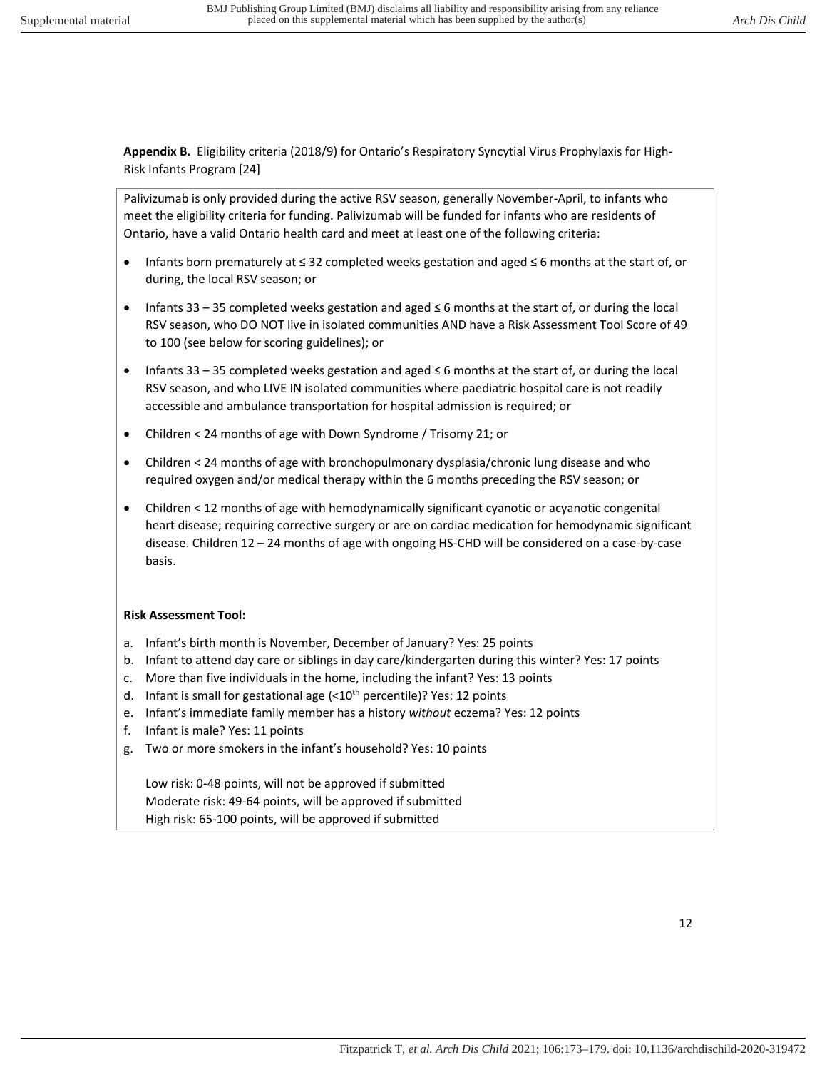**Appendix B.** Eligibility criteria (2018/9) for Ontario's Respiratory Syncytial Virus Prophylaxis for High-Risk Infants Program [24]

Palivizumab is only provided during the active RSV season, generally November-April, to infants who meet the eligibility criteria for funding. Palivizumab will be funded for infants who are residents of Ontario, have a valid Ontario health card and meet at least one of the following criteria:

- Infants born prematurely at ≤ 32 completed weeks gestation and aged ≤ 6 months at the start of, or during, the local RSV season; or
- Infants 33 35 completed weeks gestation and aged ≤ 6 months at the start of, or during the local RSV season, who DO NOT live in isolated communities AND have a Risk Assessment Tool Score of 49 to 100 (see below for scoring guidelines); or
- Infants 33 35 completed weeks gestation and aged ≤ 6 months at the start of, or during the local RSV season, and who LIVE IN isolated communities where paediatric hospital care is not readily accessible and ambulance transportation for hospital admission is required; or
- Children < 24 months of age with Down Syndrome / Trisomy 21; or
- Children < 24 months of age with bronchopulmonary dysplasia/chronic lung disease and who required oxygen and/or medical therapy within the 6 months preceding the RSV season; or
- Children < 12 months of age with hemodynamically significant cyanotic or acyanotic congenital heart disease; requiring corrective surgery or are on cardiac medication for hemodynamic significant disease. Children 12 – 24 months of age with ongoing HS-CHD will be considered on a case-by-case basis.

## **Risk Assessment Tool:**

- a. Infant's birth month is November, December of January? Yes: 25 points
- b. Infant to attend day care or siblings in day care/kindergarten during this winter? Yes: 17 points
- c. More than five individuals in the home, including the infant? Yes: 13 points
- d. Infant is small for gestational age  $(<10<sup>th</sup>$  percentile)? Yes: 12 points
- e. Infant's immediate family member has a history *without* eczema? Yes: 12 points
- f. Infant is male? Yes: 11 points
- g. Two or more smokers in the infant's household? Yes: 10 points

Low risk: 0-48 points, will not be approved if submitted Moderate risk: 49-64 points, will be approved if submitted High risk: 65-100 points, will be approved if submitted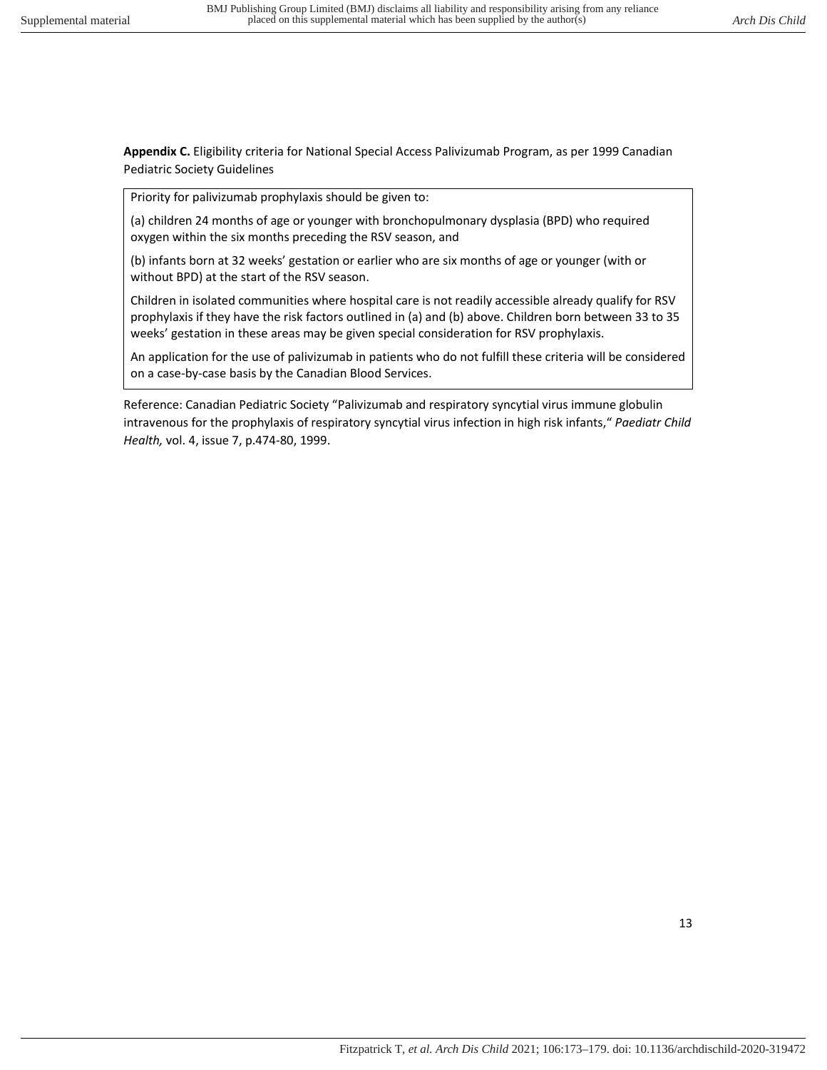**Appendix C.** Eligibility criteria for National Special Access Palivizumab Program, as per 1999 Canadian Pediatric Society Guidelines

Priority for palivizumab prophylaxis should be given to:

(a) children 24 months of age or younger with bronchopulmonary dysplasia (BPD) who required oxygen within the six months preceding the RSV season, and

(b) infants born at 32 weeks' gestation or earlier who are six months of age or younger (with or without BPD) at the start of the RSV season.

Children in isolated communities where hospital care is not readily accessible already qualify for RSV prophylaxis if they have the risk factors outlined in (a) and (b) above. Children born between 33 to 35 weeks' gestation in these areas may be given special consideration for RSV prophylaxis.

An application for the use of palivizumab in patients who do not fulfill these criteria will be considered on a case-by-case basis by the Canadian Blood Services.

Reference: Canadian Pediatric Society "Palivizumab and respiratory syncytial virus immune globulin intravenous for the prophylaxis of respiratory syncytial virus infection in high risk infants," *Paediatr Child Health,* vol. 4, issue 7, p.474-80, 1999.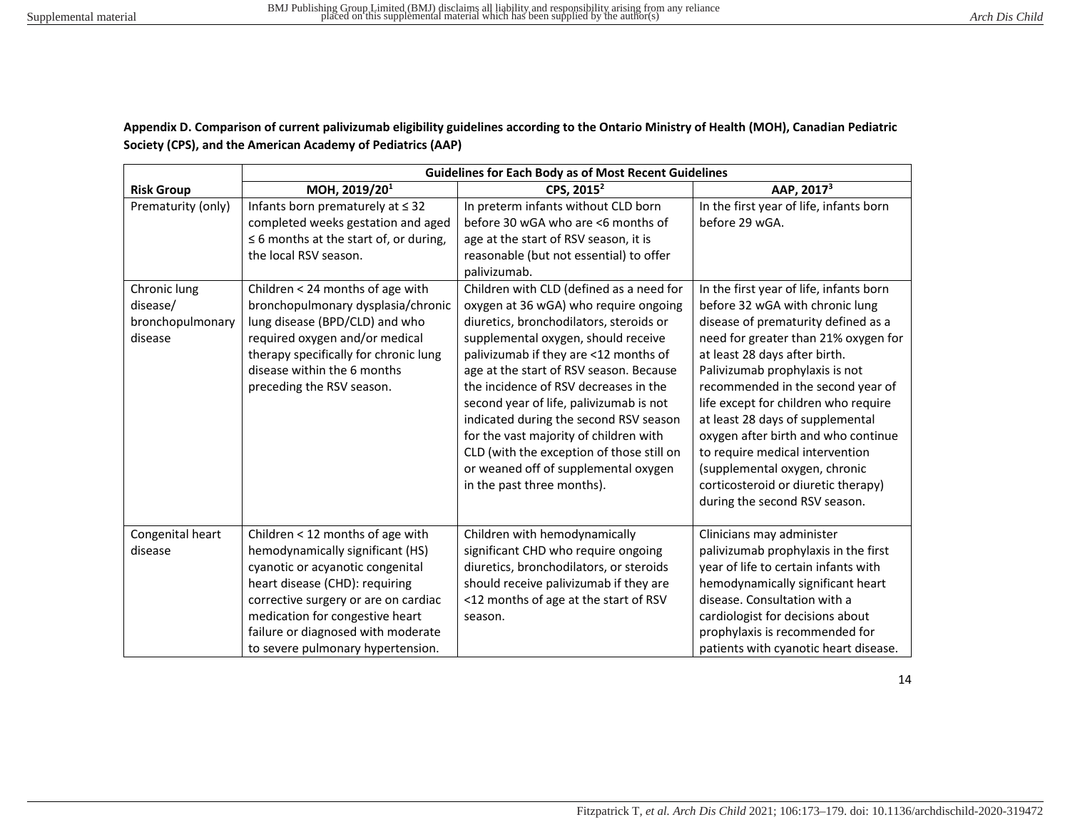## **Appendix D. Comparison of current palivizumab eligibility guidelines according to the Ontario Ministry of Health (MOH), Canadian Pediatric Society (CPS), and the American Academy of Pediatrics (AAP)**

|                                                         | <b>Guidelines for Each Body as of Most Recent Guidelines</b>                                                                                                                                                                                                                                     |                                                                                                                                                                                                                                                                                                                                                                                                                                                                                                                                                    |                                                                                                                                                                                                                                                                                                                                                                                                                                                                                                                                  |
|---------------------------------------------------------|--------------------------------------------------------------------------------------------------------------------------------------------------------------------------------------------------------------------------------------------------------------------------------------------------|----------------------------------------------------------------------------------------------------------------------------------------------------------------------------------------------------------------------------------------------------------------------------------------------------------------------------------------------------------------------------------------------------------------------------------------------------------------------------------------------------------------------------------------------------|----------------------------------------------------------------------------------------------------------------------------------------------------------------------------------------------------------------------------------------------------------------------------------------------------------------------------------------------------------------------------------------------------------------------------------------------------------------------------------------------------------------------------------|
| <b>Risk Group</b>                                       | MOH, 2019/201                                                                                                                                                                                                                                                                                    | CPS, 2015 <sup>2</sup>                                                                                                                                                                                                                                                                                                                                                                                                                                                                                                                             | AAP, 2017 <sup>3</sup>                                                                                                                                                                                                                                                                                                                                                                                                                                                                                                           |
| Prematurity (only)                                      | Infants born prematurely at $\leq$ 32<br>completed weeks gestation and aged<br>$\leq$ 6 months at the start of, or during,<br>the local RSV season.                                                                                                                                              | In preterm infants without CLD born<br>before 30 wGA who are <6 months of<br>age at the start of RSV season, it is<br>reasonable (but not essential) to offer<br>palivizumab.                                                                                                                                                                                                                                                                                                                                                                      | In the first year of life, infants born<br>before 29 wGA.                                                                                                                                                                                                                                                                                                                                                                                                                                                                        |
| Chronic lung<br>disease/<br>bronchopulmonary<br>disease | Children < 24 months of age with<br>bronchopulmonary dysplasia/chronic<br>lung disease (BPD/CLD) and who<br>required oxygen and/or medical<br>therapy specifically for chronic lung<br>disease within the 6 months<br>preceding the RSV season.                                                  | Children with CLD (defined as a need for<br>oxygen at 36 wGA) who require ongoing<br>diuretics, bronchodilators, steroids or<br>supplemental oxygen, should receive<br>palivizumab if they are <12 months of<br>age at the start of RSV season. Because<br>the incidence of RSV decreases in the<br>second year of life, palivizumab is not<br>indicated during the second RSV season<br>for the vast majority of children with<br>CLD (with the exception of those still on<br>or weaned off of supplemental oxygen<br>in the past three months). | In the first year of life, infants born<br>before 32 wGA with chronic lung<br>disease of prematurity defined as a<br>need for greater than 21% oxygen for<br>at least 28 days after birth.<br>Palivizumab prophylaxis is not<br>recommended in the second year of<br>life except for children who require<br>at least 28 days of supplemental<br>oxygen after birth and who continue<br>to require medical intervention<br>(supplemental oxygen, chronic<br>corticosteroid or diuretic therapy)<br>during the second RSV season. |
| Congenital heart<br>disease                             | Children < 12 months of age with<br>hemodynamically significant (HS)<br>cyanotic or acyanotic congenital<br>heart disease (CHD): requiring<br>corrective surgery or are on cardiac<br>medication for congestive heart<br>failure or diagnosed with moderate<br>to severe pulmonary hypertension. | Children with hemodynamically<br>significant CHD who require ongoing<br>diuretics, bronchodilators, or steroids<br>should receive palivizumab if they are<br><12 months of age at the start of RSV<br>season.                                                                                                                                                                                                                                                                                                                                      | Clinicians may administer<br>palivizumab prophylaxis in the first<br>year of life to certain infants with<br>hemodynamically significant heart<br>disease. Consultation with a<br>cardiologist for decisions about<br>prophylaxis is recommended for<br>patients with cyanotic heart disease.                                                                                                                                                                                                                                    |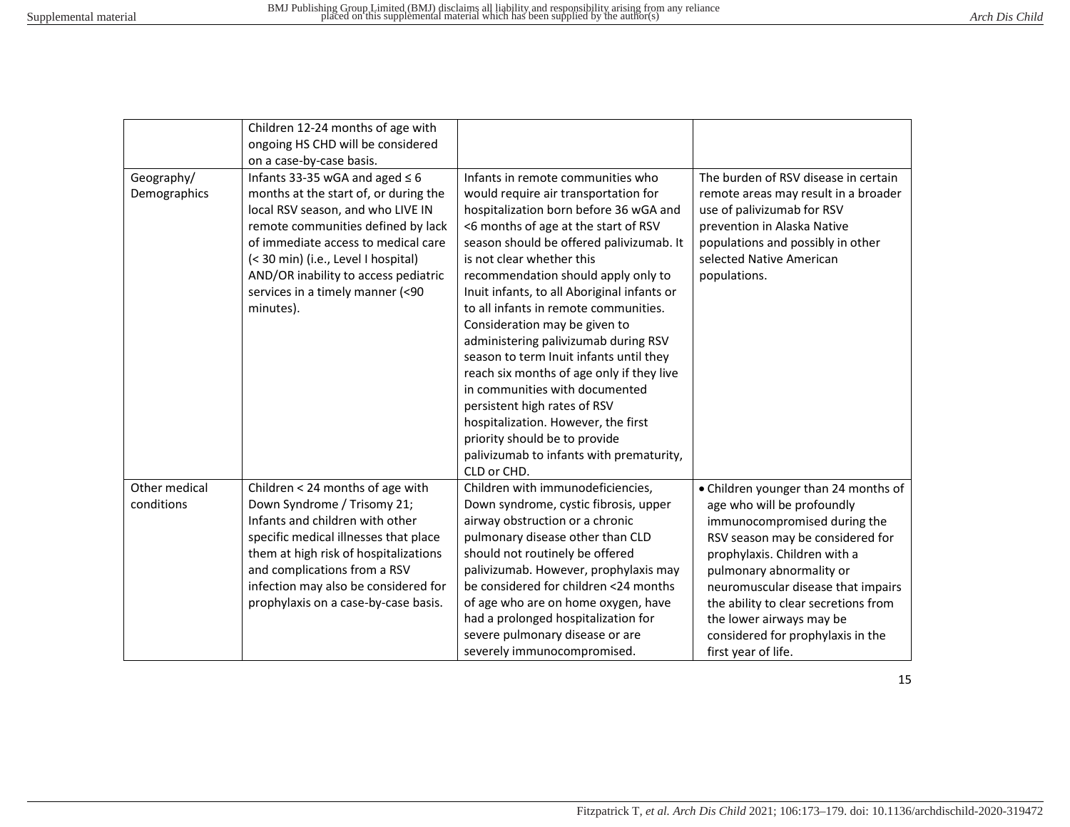|                             | Children 12-24 months of age with<br>ongoing HS CHD will be considered                                                                                                                                                                                                                                                                                     |                                                                                                                                                                                                                                                                                                                                                                                                                                                                                                                                                                                                                                                                                                                                           |                                                                                                                                                                                                                                                                                                                                                                          |
|-----------------------------|------------------------------------------------------------------------------------------------------------------------------------------------------------------------------------------------------------------------------------------------------------------------------------------------------------------------------------------------------------|-------------------------------------------------------------------------------------------------------------------------------------------------------------------------------------------------------------------------------------------------------------------------------------------------------------------------------------------------------------------------------------------------------------------------------------------------------------------------------------------------------------------------------------------------------------------------------------------------------------------------------------------------------------------------------------------------------------------------------------------|--------------------------------------------------------------------------------------------------------------------------------------------------------------------------------------------------------------------------------------------------------------------------------------------------------------------------------------------------------------------------|
| Geography/<br>Demographics  | on a case-by-case basis.<br>Infants 33-35 wGA and aged $\leq 6$<br>months at the start of, or during the<br>local RSV season, and who LIVE IN<br>remote communities defined by lack<br>of immediate access to medical care<br>(< 30 min) (i.e., Level I hospital)<br>AND/OR inability to access pediatric<br>services in a timely manner (<90<br>minutes). | Infants in remote communities who<br>would require air transportation for<br>hospitalization born before 36 wGA and<br><6 months of age at the start of RSV<br>season should be offered palivizumab. It<br>is not clear whether this<br>recommendation should apply only to<br>Inuit infants, to all Aboriginal infants or<br>to all infants in remote communities.<br>Consideration may be given to<br>administering palivizumab during RSV<br>season to term Inuit infants until they<br>reach six months of age only if they live<br>in communities with documented<br>persistent high rates of RSV<br>hospitalization. However, the first<br>priority should be to provide<br>palivizumab to infants with prematurity,<br>CLD or CHD. | The burden of RSV disease in certain<br>remote areas may result in a broader<br>use of palivizumab for RSV<br>prevention in Alaska Native<br>populations and possibly in other<br>selected Native American<br>populations.                                                                                                                                               |
| Other medical<br>conditions | Children < 24 months of age with<br>Down Syndrome / Trisomy 21;<br>Infants and children with other<br>specific medical illnesses that place<br>them at high risk of hospitalizations<br>and complications from a RSV<br>infection may also be considered for<br>prophylaxis on a case-by-case basis.                                                       | Children with immunodeficiencies,<br>Down syndrome, cystic fibrosis, upper<br>airway obstruction or a chronic<br>pulmonary disease other than CLD<br>should not routinely be offered<br>palivizumab. However, prophylaxis may<br>be considered for children <24 months<br>of age who are on home oxygen, have<br>had a prolonged hospitalization for<br>severe pulmonary disease or are<br>severely immunocompromised.                                                                                                                                                                                                                                                                                                                    | • Children younger than 24 months of<br>age who will be profoundly<br>immunocompromised during the<br>RSV season may be considered for<br>prophylaxis. Children with a<br>pulmonary abnormality or<br>neuromuscular disease that impairs<br>the ability to clear secretions from<br>the lower airways may be<br>considered for prophylaxis in the<br>first year of life. |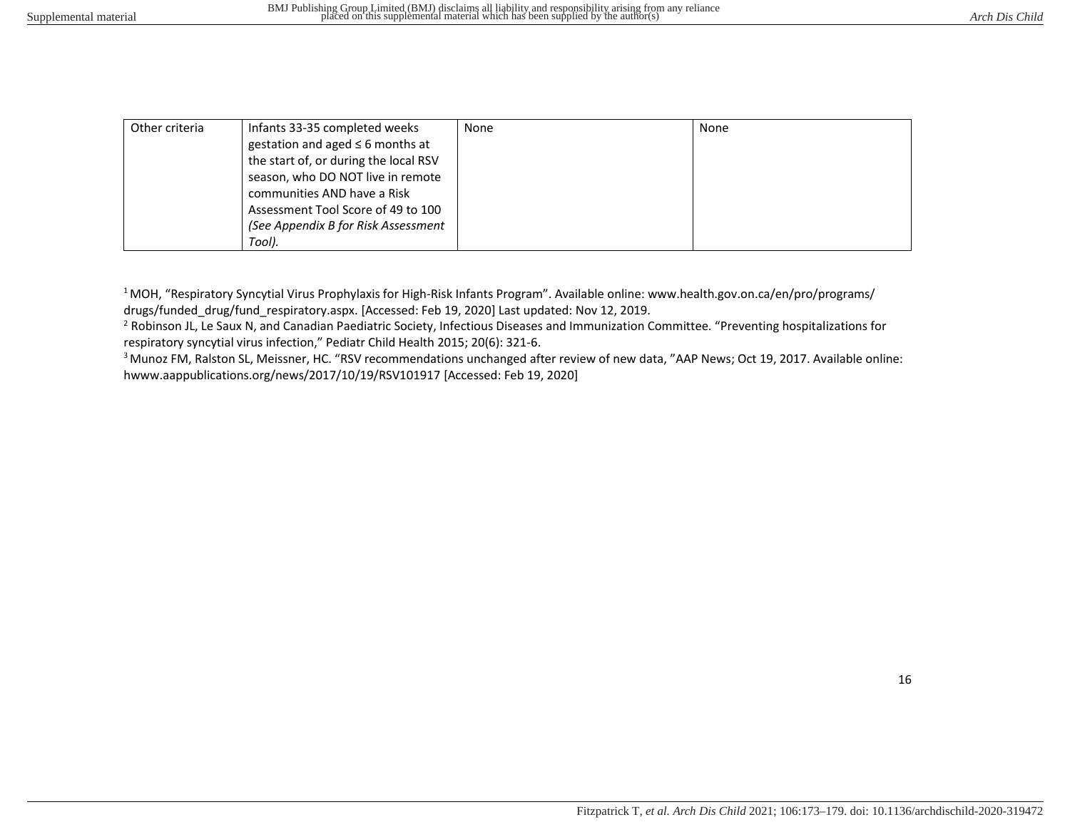| Other criteria | Infants 33-35 completed weeks         | None | None |
|----------------|---------------------------------------|------|------|
|                | gestation and aged $\leq$ 6 months at |      |      |
|                | the start of, or during the local RSV |      |      |
|                | season, who DO NOT live in remote     |      |      |
|                | communities AND have a Risk           |      |      |
|                | Assessment Tool Score of 49 to 100    |      |      |
|                | (See Appendix B for Risk Assessment   |      |      |
|                | Tool).                                |      |      |

<sup>1</sup>MOH, "Respiratory Syncytial Virus Prophylaxis for High-Risk Infants Program". Available online: www.health.gov.on.ca/en/pro/programs/ drugs/funded\_drug/fund\_respiratory.aspx. [Accessed: Feb 19, 2020] Last updated: Nov 12, 2019.

<sup>2</sup> Robinson JL, Le Saux N, and Canadian Paediatric Society, Infectious Diseases and Immunization Committee. "Preventing hospitalizations for respiratory syncytial virus infection," Pediatr Child Health 2015; 20(6): 321-6.

<sup>3</sup> Munoz FM, Ralston SL, Meissner, HC. "RSV recommendations unchanged after review of new data, "AAP News; Oct 19, 2017. Available online: hwww.aappublications.org/news/2017/10/19/RSV101917 [Accessed: Feb 19, 2020]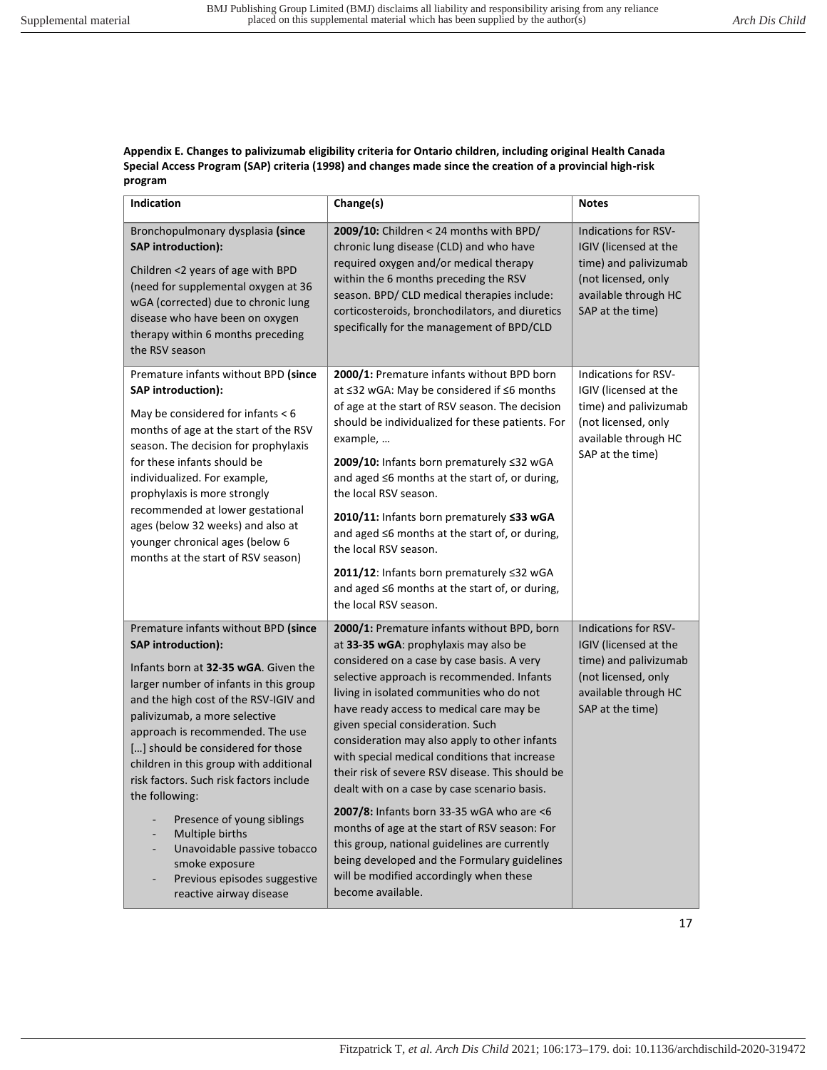**Appendix E. Changes to palivizumab eligibility criteria for Ontario children, including original Health Canada Special Access Program (SAP) criteria (1998) and changes made since the creation of a provincial high-risk program** 

| Indication                                                                                                                                                                                                                                                                                                                                                                                                                                                                                                                                                                 | Change(s)                                                                                                                                                                                                                                                                                                                                                                                                                                                                                                                                                                                                                                                                                                                                                                           | <b>Notes</b>                                                                                                                                     |
|----------------------------------------------------------------------------------------------------------------------------------------------------------------------------------------------------------------------------------------------------------------------------------------------------------------------------------------------------------------------------------------------------------------------------------------------------------------------------------------------------------------------------------------------------------------------------|-------------------------------------------------------------------------------------------------------------------------------------------------------------------------------------------------------------------------------------------------------------------------------------------------------------------------------------------------------------------------------------------------------------------------------------------------------------------------------------------------------------------------------------------------------------------------------------------------------------------------------------------------------------------------------------------------------------------------------------------------------------------------------------|--------------------------------------------------------------------------------------------------------------------------------------------------|
| Bronchopulmonary dysplasia (since<br><b>SAP</b> introduction):<br>Children <2 years of age with BPD<br>(need for supplemental oxygen at 36<br>wGA (corrected) due to chronic lung<br>disease who have been on oxygen<br>therapy within 6 months preceding<br>the RSV season                                                                                                                                                                                                                                                                                                | 2009/10: Children < 24 months with BPD/<br>chronic lung disease (CLD) and who have<br>required oxygen and/or medical therapy<br>within the 6 months preceding the RSV<br>season. BPD/ CLD medical therapies include:<br>corticosteroids, bronchodilators, and diuretics<br>specifically for the management of BPD/CLD                                                                                                                                                                                                                                                                                                                                                                                                                                                               | <b>Indications for RSV-</b><br>IGIV (licensed at the<br>time) and palivizumab<br>(not licensed, only<br>available through HC<br>SAP at the time) |
| Premature infants without BPD (since<br><b>SAP</b> introduction):<br>May be considered for infants $<$ 6<br>months of age at the start of the RSV<br>season. The decision for prophylaxis<br>for these infants should be<br>individualized. For example,<br>prophylaxis is more strongly<br>recommended at lower gestational<br>ages (below 32 weeks) and also at<br>younger chronical ages (below 6<br>months at the start of RSV season)                                                                                                                                 | 2000/1: Premature infants without BPD born<br>at ≤32 wGA: May be considered if ≤6 months<br>of age at the start of RSV season. The decision<br>should be individualized for these patients. For<br>example,<br>2009/10: Infants born prematurely ≤32 wGA<br>and aged ≤6 months at the start of, or during,<br>the local RSV season.<br>2010/11: Infants born prematurely ≤33 wGA<br>and aged ≤6 months at the start of, or during,<br>the local RSV season.<br>2011/12: Infants born prematurely ≤32 wGA<br>and aged ≤6 months at the start of, or during,<br>the local RSV season.                                                                                                                                                                                                 | <b>Indications for RSV-</b><br>IGIV (licensed at the<br>time) and palivizumab<br>(not licensed, only<br>available through HC<br>SAP at the time) |
| Premature infants without BPD (since<br><b>SAP</b> introduction):<br>Infants born at 32-35 wGA. Given the<br>larger number of infants in this group<br>and the high cost of the RSV-IGIV and<br>palivizumab, a more selective<br>approach is recommended. The use<br>[] should be considered for those<br>children in this group with additional<br>risk factors. Such risk factors include<br>the following:<br>Presence of young siblings<br>Multiple births<br>Unavoidable passive tobacco<br>smoke exposure<br>Previous episodes suggestive<br>reactive airway disease | 2000/1: Premature infants without BPD, born<br>at 33-35 wGA: prophylaxis may also be<br>considered on a case by case basis. A very<br>selective approach is recommended. Infants<br>living in isolated communities who do not<br>have ready access to medical care may be<br>given special consideration. Such<br>consideration may also apply to other infants<br>with special medical conditions that increase<br>their risk of severe RSV disease. This should be<br>dealt with on a case by case scenario basis.<br>2007/8: Infants born 33-35 wGA who are <6<br>months of age at the start of RSV season: For<br>this group, national guidelines are currently<br>being developed and the Formulary guidelines<br>will be modified accordingly when these<br>become available. | <b>Indications for RSV-</b><br>IGIV (licensed at the<br>time) and palivizumab<br>(not licensed, only<br>available through HC<br>SAP at the time) |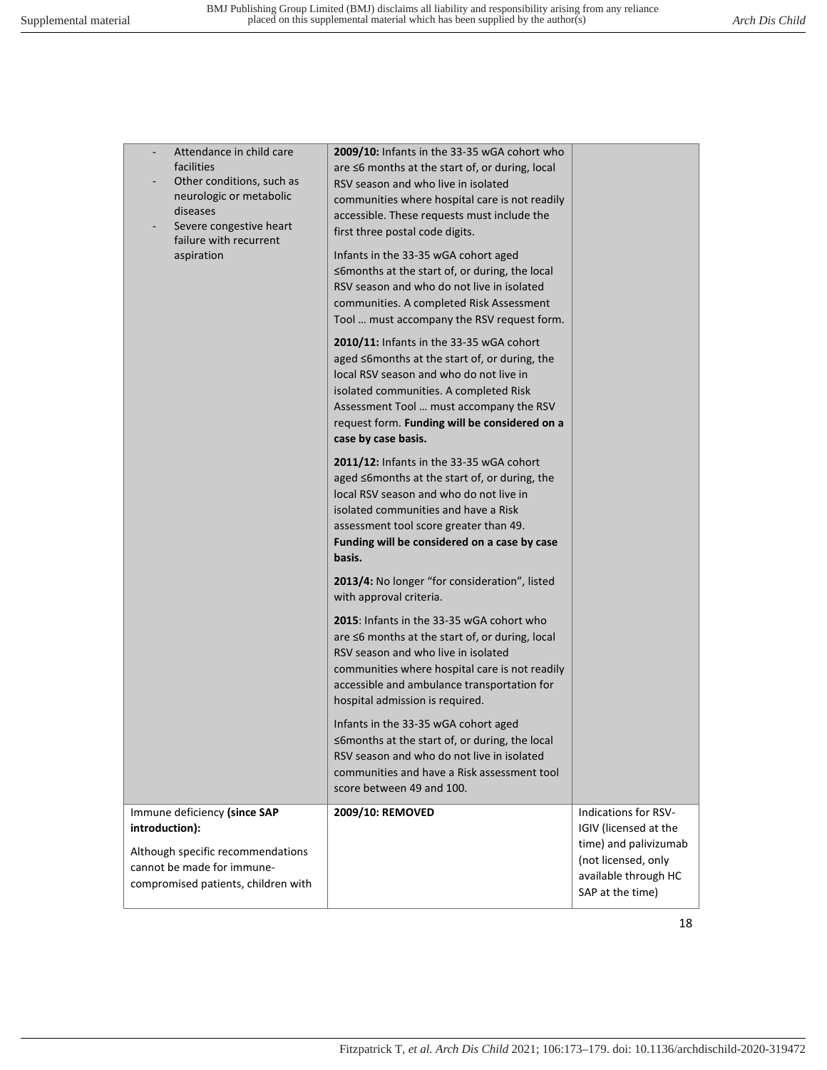| Attendance in child care<br>facilities<br>Other conditions, such as<br>neurologic or metabolic<br>diseases<br>Severe congestive heart<br>failure with recurrent | 2009/10: Infants in the 33-35 wGA cohort who<br>are ≤6 months at the start of, or during, local<br>RSV season and who live in isolated<br>communities where hospital care is not readily<br>accessible. These requests must include the<br>first three postal code digits.                        |                                                                                                                       |
|-----------------------------------------------------------------------------------------------------------------------------------------------------------------|---------------------------------------------------------------------------------------------------------------------------------------------------------------------------------------------------------------------------------------------------------------------------------------------------|-----------------------------------------------------------------------------------------------------------------------|
| aspiration                                                                                                                                                      | Infants in the 33-35 wGA cohort aged<br>≤6months at the start of, or during, the local<br>RSV season and who do not live in isolated<br>communities. A completed Risk Assessment<br>Tool  must accompany the RSV request form.                                                                    |                                                                                                                       |
|                                                                                                                                                                 | 2010/11: Infants in the 33-35 wGA cohort<br>aged ≤6months at the start of, or during, the<br>local RSV season and who do not live in<br>isolated communities. A completed Risk<br>Assessment Tool  must accompany the RSV<br>request form. Funding will be considered on a<br>case by case basis. |                                                                                                                       |
|                                                                                                                                                                 | 2011/12: Infants in the 33-35 wGA cohort<br>aged ≤6months at the start of, or during, the<br>local RSV season and who do not live in<br>isolated communities and have a Risk<br>assessment tool score greater than 49.<br>Funding will be considered on a case by case<br>basis.                  |                                                                                                                       |
|                                                                                                                                                                 | 2013/4: No longer "for consideration", listed<br>with approval criteria.                                                                                                                                                                                                                          |                                                                                                                       |
|                                                                                                                                                                 | 2015: Infants in the 33-35 wGA cohort who<br>are $\leq$ 6 months at the start of, or during, local<br>RSV season and who live in isolated<br>communities where hospital care is not readily<br>accessible and ambulance transportation for<br>hospital admission is required.                     |                                                                                                                       |
|                                                                                                                                                                 | Infants in the 33-35 wGA cohort aged<br>≤6months at the start of, or during, the local<br>RSV season and who do not live in isolated<br>communities and have a Risk assessment tool<br>score between 49 and 100.                                                                                  |                                                                                                                       |
| Immune deficiency (since SAP<br>introduction):<br>Although specific recommendations<br>cannot be made for immune-                                               | 2009/10: REMOVED                                                                                                                                                                                                                                                                                  | Indications for RSV-<br>IGIV (licensed at the<br>time) and palivizumab<br>(not licensed, only<br>available through HC |
| compromised patients, children with                                                                                                                             |                                                                                                                                                                                                                                                                                                   | SAP at the time)                                                                                                      |
|                                                                                                                                                                 |                                                                                                                                                                                                                                                                                                   | 18                                                                                                                    |